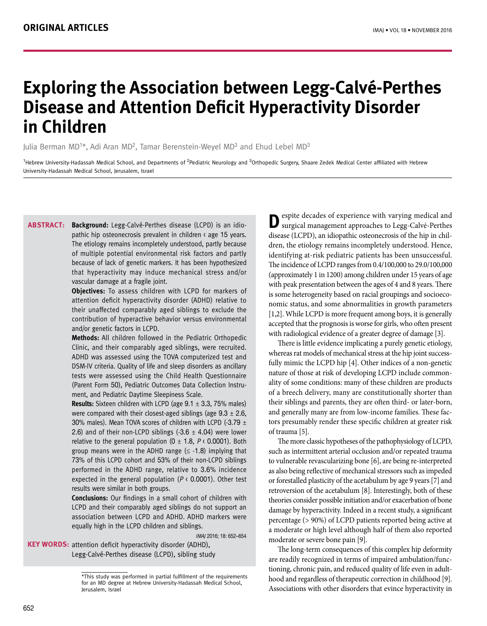# **Exploring the Association between Legg-Calvé-Perthes Disease and Attention Deficit Hyperactivity Disorder in Children**

Julia Berman MD<sup>1\*</sup>, Adi Aran MD<sup>2</sup>, Tamar Berenstein-Weyel MD<sup>3</sup> and Ehud Lebel MD<sup>3</sup>

<sup>1</sup>Hebrew University-Hadassah Medical School, and Departments of <sup>2</sup>Pediatric Neurology and <sup>3</sup>Orthopedic Surgery, Shaare Zedek Medical Center affiliated with Hebrew University-Hadassah Medical School, Jerusalem, Israel

**Background:** Legg-Calvé-Perthes disease (LCPD) is an idiopathic hip osteonecrosis prevalent in children < age 15 years. The etiology remains incompletely understood, partly because of multiple potential environmental risk factors and partly because of lack of genetic markers. It has been hypothesized that hyperactivity may induce mechanical stress and/or vascular damage at a fragile joint. **Abstract:**

> **Objectives:** To assess children with LCPD for markers of attention deficit hyperactivity disorder (ADHD) relative to their unaffected comparably aged siblings to exclude the contribution of hyperactive behavior versus environmental and/or genetic factors in LCPD.

> **Methods:** All children followed in the Pediatric Orthopedic Clinic, and their comparably aged siblings, were recruited. ADHD was assessed using the TOVA computerized test and DSM-IV criteria. Quality of life and sleep disorders as ancillary tests were assessed using the Child Health Questionnaire (Parent Form 50), Pediatric Outcomes Data Collection Instrument, and Pediatric Daytime Sleepiness Scale.

> **Results:** Sixteen children with LCPD (age 9.1 ± 3.3, 75% males) were compared with their closest-aged siblings (age  $9.3 \pm 2.6$ , 30% males). Mean TOVA scores of children with LCPD (-3.79  $\pm$ 2.6) and of their non-LCPD siblings  $(-3.6 \pm 4.04)$  were lower relative to the general population  $(0 \pm 1.8, P \cdot 0.0001)$ . Both group means were in the ADHD range  $( \leq -1.8)$  implying that 73% of this LCPD cohort and 53% of their non-LCPD siblings performed in the ADHD range, relative to 3.6% incidence expected in the general population ( $P \triangleleft 0.0001$ ). Other test results were similar in both groups.

> **Conclusions:** Our findings in a small cohort of children with LCPD and their comparably aged siblings do not support an association between LCPD and ADHD. ADHD markers were equally high in the LCPD children and siblings.

> > IMAJ 2016; 18: 652–654

**KEY WORDS:** attention deficit hyperactivity disorder (ADHD), Legg-Calvé-Perthes disease (LCPD), sibling study

**D**espite decades of experience with varying medical and surgical management approaches to Legg-Calvé-Perthes disease (LCPD), an idiopathic osteonecrosis of the hip in children, the etiology remains incompletely understood. Hence, identifying at-risk pediatric patients has been unsuccessful. The incidence of LCPD ranges from 0.4/100,000 to 29.0/100,000 (approximately 1 in 1200) among children under 15 years of age with peak presentation between the ages of 4 and 8 years. There is some heterogeneity based on racial groupings and socioeconomic status, and some abnormalities in growth parameters [1,2]. While LCPD is more frequent among boys, it is generally accepted that the prognosis is worse for girls, who often present with radiological evidence of a greater degree of damage [3].

There is little evidence implicating a purely genetic etiology, whereas rat models of mechanical stress at the hip joint successfully mimic the LCPD hip [4]. Other indices of a non-genetic nature of those at risk of developing LCPD include commonality of some conditions: many of these children are products of a breech delivery, many are constitutionally shorter than their siblings and parents, they are often third- or later-born, and generally many are from low-income families. These factors presumably render these specific children at greater risk of trauma [5].

The more classic hypotheses of the pathophysiology of LCPD, such as intermittent arterial occlusion and/or repeated trauma to vulnerable revascularizing bone [6], are being re-interpreted as also being reflective of mechanical stressors such as impeded or forestalled plasticity of the acetabulum by age 9 years [7] and retroversion of the acetabulum [8]. Interestingly, both of these theories consider possible initiation and/or exacerbation of bone damage by hyperactivity. Indeed in a recent study, a significant percentage (> 90%) of LCPD patients reported being active at a moderate or high level although half of them also reported moderate or severe bone pain [9].

The long-term consequences of this complex hip deformity are readily recognized in terms of impaired ambulation/functioning, chronic pain, and reduced quality of life even in adulthood and regardless of therapeutic correction in childhood [9]. Associations with other disorders that evince hyperactivity in

<sup>\*</sup>This study was performed in partial fulfillment of the requirements for an MD degree at Hebrew University-Hadassah Medical School, Jerusalem, Israel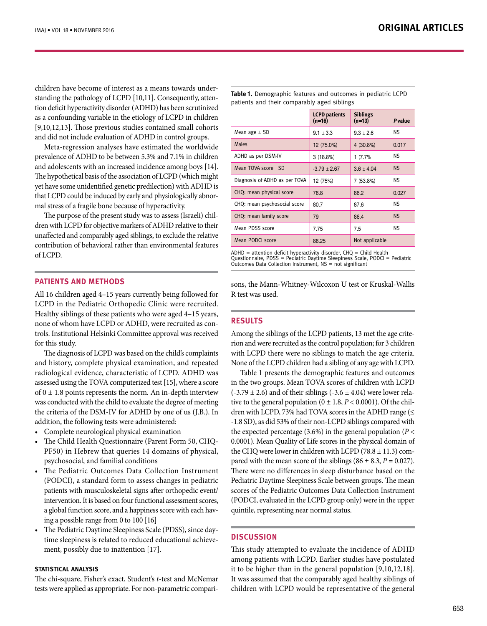children have become of interest as a means towards understanding the pathology of LCPD [10,11]. Consequently, attention deficit hyperactivity disorder (ADHD) has been scrutinized as a confounding variable in the etiology of LCPD in children [9,10,12,13]. Those previous studies contained small cohorts and did not include evaluation of ADHD in control groups.

Meta-regression analyses have estimated the worldwide prevalence of ADHD to be between 5.3% and 7.1% in children and adolescents with an increased incidence among boys [14]. The hypothetical basis of the association of LCPD (which might yet have some unidentified genetic predilection) with ADHD is that LCPD could be induced by early and physiologically abnormal stress of a fragile bone because of hyperactivity.

The purpose of the present study was to assess (Israeli) children with LCPD for objective markers of ADHD relative to their unaffected and comparably aged siblings, to exclude the relative contribution of behavioral rather than environmental features of LCPD.

# **PATIENTS AND METHODS**

All 16 children aged 4–15 years currently being followed for LCPD in the Pediatric Orthopedic Clinic were recruited. Healthy siblings of these patients who were aged 4–15 years, none of whom have LCPD or ADHD, were recruited as controls. Institutional Helsinki Committee approval was received for this study.

The diagnosis of LCPD was based on the child's complaints and history, complete physical examination, and repeated radiological evidence, characteristic of LCPD. ADHD was assessed using the TOVA computerized test [15], where a score of  $0 \pm 1.8$  points represents the norm. An in-depth interview was conducted with the child to evaluate the degree of meeting the criteria of the DSM-IV for ADHD by one of us (J.B.). In addition, the following tests were administered:

- Complete neurological physical examination
- The Child Health Questionnaire (Parent Form 50, CHQ-PF50) in Hebrew that queries 14 domains of physical, psychosocial, and familial conditions
- • The Pediatric Outcomes Data Collection Instrument (PODCI), a standard form to assess changes in pediatric patients with musculoskeletal signs after orthopedic event/ intervention. It is based on four functional assessment scores, a global function score, and a happiness score with each having a possible range from 0 to 100 [16]
- The Pediatric Daytime Sleepiness Scale (PDSS), since daytime sleepiness is related to reduced educational achievement, possibly due to inattention [17].

## **Statistical analysis**

The chi-square, Fisher's exact, Student's *t*-test and McNemar tests were applied as appropriate. For non-parametric compari-

|                               | <b>LCPD</b> patients<br>$(n=16)$ | <b>Siblings</b><br>$(n=13)$ | Pvalue    |
|-------------------------------|----------------------------------|-----------------------------|-----------|
| Mean age $\pm$ SD             | $9.1 \pm 3.3$                    | $9.3 \pm 2.6$               | NS.       |
| <b>Males</b>                  | 12 (75.0%)                       | 4 (30.8%)                   | 0.017     |
| ADHD as per DSM-IV            | $3(18.8\%)$                      | 1(7.7%                      | ΝS        |
| Mean TOVA score SD            | $-3.79 \pm 2.67$                 | $3.6 \pm 4.04$              | <b>NS</b> |
| Diagnosis of ADHD as per TOVA | 12 (75%)                         | 7 (53.8%)                   | NS.       |
| CHQ: mean physical score      | 78.8                             | 86.2                        | 0.027     |
| CHQ: mean psychosocial score  | 80.7                             | 87.6                        | NS.       |
| CHQ: mean family score        | 79                               | 86.4                        | <b>NS</b> |
| Mean PDSS score               | 7.75                             | 7.5                         | NS.       |
| Mean PODCI score              | 88.25                            | Not applicable              |           |
|                               |                                  |                             |           |

**Table 1.** Demographic features and outcomes in pediatric LCPD patients and their comparably aged siblings

 $ADHD =$  attention deficit hyperactivity disorder,  $CHO =$  Child Health Questionnaire, PDSS = Pediatric Daytime Sleepiness Scale, PODCI = Pediatric Outcomes Data Collection Instrument, NS = not significant

sons, the Mann-Whitney-Wilcoxon U test or Kruskal-Wallis R test was used.

# **RESULTS**

Among the siblings of the LCPD patients, 13 met the age criterion and were recruited as the control population; for 3 children with LCPD there were no siblings to match the age criteria. None of the LCPD children had a sibling of any age with LCPD.

Table 1 presents the demographic features and outcomes in the two groups. Mean TOVA scores of children with LCPD  $(-3.79 \pm 2.6)$  and of their siblings  $(-3.6 \pm 4.04)$  were lower relative to the general population  $(0 \pm 1.8, P \lt 0.0001)$ . Of the children with LCPD, 73% had TOVA scores in the ADHD range (≤ -1.8 SD), as did 53% of their non-LCPD siblings compared with the expected percentage (3.6%) in the general population ( $P <$ 0.0001). Mean Quality of Life scores in the physical domain of the CHQ were lower in children with LCPD (78.8  $\pm$  11.3) compared with the mean score of the siblings  $(86 \pm 8.3, P = 0.027)$ . There were no differences in sleep disturbance based on the Pediatric Daytime Sleepiness Scale between groups. The mean scores of the Pediatric Outcomes Data Collection Instrument (PODCI, evaluated in the LCPD group only) were in the upper quintile, representing near normal status.

# **DISCUSSION**

This study attempted to evaluate the incidence of ADHD among patients with LCPD. Earlier studies have postulated it to be higher than in the general population [9,10,12,18]. It was assumed that the comparably aged healthy siblings of children with LCPD would be representative of the general